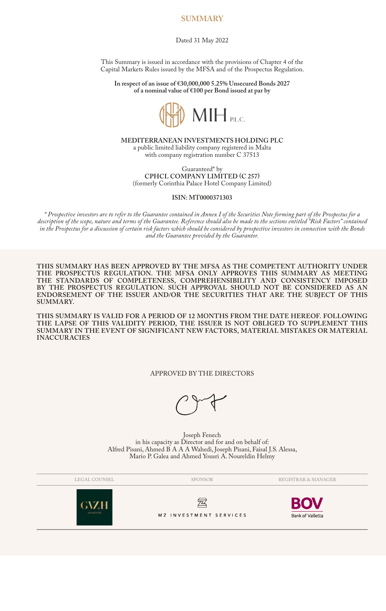# **SUMMARY**

Dated 31 May 2022

This Summary is issued in accordance with the provisions of Chapter 4 of the Capital Markets Rules issued by the MFSA and of the Prospectus Regulation.

**In respect of an issue of €30,000,000 5.25% Unsecured Bonds 2027 of a nominal value of €100 per Bond issued at par by**



**MEDITERRANEAN INVESTMENTS HOLDING PLC** a public limited liability company registered in Malta with company registration number C 37513

Guaranteed\* by **CPHCL COMPANY LIMITED (C 257)** (formerly Corinthia Palace Hotel Company Limited)

### **ISIN: MT0000371303**

*\* Prospective investors are to refer to the Guarantee contained in Annex I of the Securities Note forming part of the Prospectus for a description of the scope, nature and terms of the Guarantee. Reference should also be made to the sections entitled "Risk Factors" contained in the Prospectus for a discussion of certain risk factors which should be considered by prospective investors in connection with the Bonds and the Guarantee provided by the Guarantor.*

**THIS SUMMARY HAS BEEN APPROVED BY THE MFSA AS THE COMPETENT AUTHORITY UNDER THE PROSPECTUS REGULATION. THE MFSA ONLY APPROVES THIS SUMMARY AS MEETING THE STANDARDS OF COMPLETENESS, COMPREHENSIBILITY AND CONSISTENCY IMPOSED BY THE PROSPECTUS REGULATION. SUCH APPROVAL SHOULD NOT BE CONSIDERED AS AN ENDORSEMENT OF THE ISSUER AND/OR THE SECURITIES THAT ARE THE SUBJECT OF THIS SUMMARY.**

**THIS SUMMARY IS VALID FOR A PERIOD OF 12 MONTHS FROM THE DATE HEREOF. FOLLOWING THE LAPSE OF THIS VALIDITY PERIOD, THE ISSUER IS NOT OBLIGED TO SUPPLEMENT THIS SUMMARY IN THE EVENT OF SIGNIFICANT NEW FACTORS, MATERIAL MISTAKES OR MATERIAL INACCURACIES**

# APPROVED BY THE DIRECTORS

Joseph Fenech in his capacity as Director and for and on behalf of: Alfred Pisani, Ahmed B A A A Wahedi, Joseph Pisani, Faisal J.S. Alessa, Mario P. Galea and Ahmed Yousri A. Noureldin Helmy

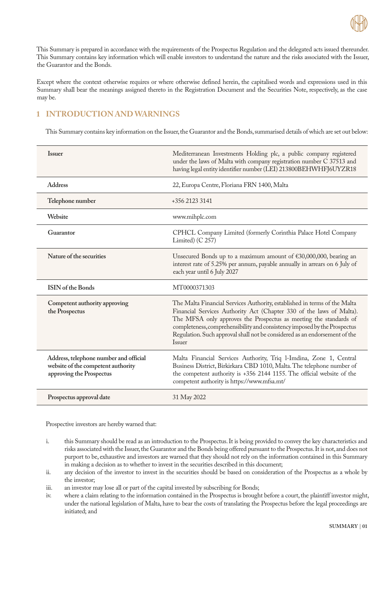

This Summary is prepared in accordance with the requirements of the Prospectus Regulation and the delegated acts issued thereunder. This Summary contains key information which will enable investors to understand the nature and the risks associated with the Issuer, the Guarantor and the Bonds.

Except where the context otherwise requires or where otherwise defined herein, the capitalised words and expressions used in this Summary shall bear the meanings assigned thereto in the Registration Document and the Securities Note, respectively, as the case may be.

# **1 INTRODUCTION AND WARNINGS**

This Summary contains key information on the Issuer, the Guarantor and the Bonds, summarised details of which are set out below:

| <b>Issuer</b>                                                                                            | Mediterranean Investments Holding plc, a public company registered<br>under the laws of Malta with company registration number C 37513 and<br>having legal entity identifier number (LEI) 213800BEHWHFJ6UYZR18                                                                                                                                                                                     |
|----------------------------------------------------------------------------------------------------------|----------------------------------------------------------------------------------------------------------------------------------------------------------------------------------------------------------------------------------------------------------------------------------------------------------------------------------------------------------------------------------------------------|
| <b>Address</b>                                                                                           | 22, Europa Centre, Floriana FRN 1400, Malta                                                                                                                                                                                                                                                                                                                                                        |
| Telephone number                                                                                         | +356 2123 3141                                                                                                                                                                                                                                                                                                                                                                                     |
| Website                                                                                                  | www.mihplc.com                                                                                                                                                                                                                                                                                                                                                                                     |
| Guarantor                                                                                                | CPHCL Company Limited (formerly Corinthia Palace Hotel Company<br>Limited) (C 257)                                                                                                                                                                                                                                                                                                                 |
| Nature of the securities                                                                                 | Unsecured Bonds up to a maximum amount of $£30,000,000$ , bearing an<br>interest rate of 5.25% per annum, payable annually in arrears on 6 July of<br>each year until 6 July 2027                                                                                                                                                                                                                  |
| <b>ISIN</b> of the Bonds                                                                                 | MT0000371303                                                                                                                                                                                                                                                                                                                                                                                       |
| Competent authority approving<br>the Prospectus                                                          | The Malta Financial Services Authority, established in terms of the Malta<br>Financial Services Authority Act (Chapter 330 of the laws of Malta).<br>The MFSA only approves the Prospectus as meeting the standards of<br>completeness, comprehensibility and consistency imposed by the Prospectus<br>Regulation. Such approval shall not be considered as an endorsement of the<br><b>Issuer</b> |
| Address, telephone number and official<br>website of the competent authority<br>approving the Prospectus | Malta Financial Services Authority, Triq l-Imdina, Zone 1, Central<br>Business District, Birkirkara CBD 1010, Malta. The telephone number of<br>the competent authority is +356 2144 1155. The official website of the<br>competent authority is https://www.mfsa.mt/                                                                                                                              |
| Prospectus approval date                                                                                 | 31 May 2022                                                                                                                                                                                                                                                                                                                                                                                        |

Prospective investors are hereby warned that:

- i. this Summary should be read as an introduction to the Prospectus. It is being provided to convey the key characteristics and risks associated with the Issuer, the Guarantor and the Bonds being offered pursuant to the Prospectus. It is not, and does not purport to be, exhaustive and investors are warned that they should not rely on the information contained in this Summary in making a decision as to whether to invest in the securities described in this document;
- ii. any decision of the investor to invest in the securities should be based on consideration of the Prospectus as a whole by the investor;
- iii. an investor may lose all or part of the capital invested by subscribing for Bonds;
- where a claim relating to the information contained in the Prospectus is brought before a court, the plaintiff investor might, under the national legislation of Malta, have to bear the costs of translating the Prospectus before the legal proceedings are initiated; and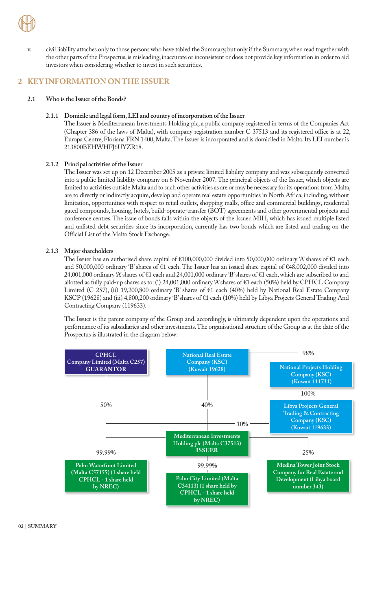

v. civil liability attaches only to those persons who have tabled the Summary, but only if the Summary, when read together with the other parts of the Prospectus, is misleading, inaccurate or inconsistent or does not provide key information in order to aid investors when considering whether to invest in such securities.

# **2 KEY INFORMATION ON THE ISSUER**

# **2.1 Who is the Issuer of the Bonds?**

# **2.1.1 Domicile and legal form, LEI and country of incorporation of the Issuer**

The Issuer is Mediterranean Investments Holding plc, a public company registered in terms of the Companies Act (Chapter 386 of the laws of Malta), with company registration number C 37513 and its registered office is at 22, Europa Centre, Floriana FRN 1400, Malta. The Issuer is incorporated and is domiciled in Malta. Its LEI number is 213800BEHWHFJ6UYZR18.

# **2.1.2 Principal activities of the Issuer**

The Issuer was set up on 12 December 2005 as a private limited liability company and was subsequently converted into a public limited liability company on 6 November 2007. The principal objects of the Issuer, which objects are limited to activities outside Malta and to such other activities as are or may be necessary for its operations from Malta, are to directly or indirectly acquire, develop and operate real estate opportunities in North Africa, including, without limitation, opportunities with respect to retail outlets, shopping malls, office and commercial buildings, residential gated compounds, housing, hotels, build-operate-transfer (BOT) agreements and other governmental projects and conference centres. The issue of bonds falls within the objects of the Issuer. MIH, which has issued multiple listed and unlisted debt securities since its incorporation, currently has two bonds which are listed and trading on the Official List of the Malta Stock Exchange.

# **2.1.3 Major shareholders**

The Issuer has an authorised share capital of €100,000,000 divided into 50,000,000 ordinary 'A' shares of €1 each and 50,000,000 ordinary 'B' shares of €1 each. The Issuer has an issued share capital of €48,002,000 divided into 24,001,000 ordinary 'A' shares of €1 each and 24,001,000 ordinary 'B' shares of €1 each, which are subscribed to and allotted as fully paid-up shares as to: (i) 24,001,000 ordinary 'A' shares of €1 each (50%) held by CPHCL Company Limited (C 257), (ii) 19,200,800 ordinary 'B' shares of €1 each (40%) held by National Real Estate Company KSCP (19628) and (iii) 4,800,200 ordinary 'B' shares of €1 each (10%) held by Libya Projects General Trading And Contracting Company (119633).

The Issuer is the parent company of the Group and, accordingly, is ultimately dependent upon the operations and performance of its subsidiaries and other investments. The organisational structure of the Group as at the date of the Prospectus is illustrated in the diagram below:



**02** | **SUMMARY**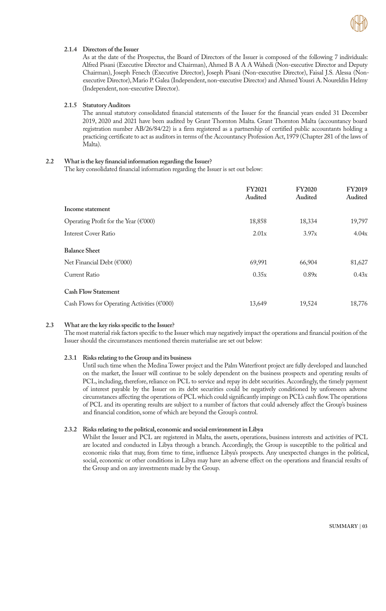

# **2.1.4 Directors of the Issuer**

As at the date of the Prospectus, the Board of Directors of the Issuer is composed of the following 7 individuals: Alfred Pisani (Executive Director and Chairman), Ahmed B A A A Wahedi (Non-executive Director and Deputy Chairman), Joseph Fenech (Executive Director), Joseph Pisani (Non-executive Director), Faisal J.S. Alessa (Nonexecutive Director), Mario P. Galea (Independent, non-executive Director) and Ahmed Yousri A. Noureldin Helmy (Independent, non-executive Director).

#### **2.1.5 Statutory Auditors**

The annual statutory consolidated financial statements of the Issuer for the financial years ended 31 December 2019, 2020 and 2021 have been audited by Grant Thornton Malta. Grant Thornton Malta (accountancy board registration number AB/26/84/22) is a firm registered as a partnership of certified public accountants holding a practicing certificate to act as auditors in terms of the Accountancy Profession Act, 1979 (Chapter 281 of the laws of Malta).

## **2.2 What is the key financial information regarding the Issuer?**

The key consolidated financial information regarding the Issuer is set out below:

|                                                        | <b>FY2021</b><br>Audited | <b>FY2020</b><br>Audited | <b>FY2019</b><br>Audited |
|--------------------------------------------------------|--------------------------|--------------------------|--------------------------|
| Income statement                                       |                          |                          |                          |
| Operating Profit for the Year (€'000)                  | 18,858                   | 18,334                   | 19,797                   |
| Interest Cover Ratio                                   | 2.01x                    | 3.97x                    | 4.04x                    |
| <b>Balance Sheet</b>                                   |                          |                          |                          |
| Net Financial Debt ( $\epsilon$ '000)                  | 69,991                   | 66,904                   | 81,627                   |
| <b>Current Ratio</b>                                   | 0.35x                    | 0.89x                    | 0.43x                    |
| <b>Cash Flow Statement</b>                             |                          |                          |                          |
| Cash Flows for Operating Activities ( $\epsilon$ '000) | 13,649                   | 19,524                   | 18,776                   |

#### **2.3 What are the key risks specific to the Issuer?**

The most material risk factors specific to the Issuer which may negatively impact the operations and financial position of the Issuer should the circumstances mentioned therein materialise are set out below:

#### **2.3.1 Risks relating to the Group and its business**

Until such time when the Medina Tower project and the Palm Waterfront project are fully developed and launched on the market, the Issuer will continue to be solely dependent on the business prospects and operating results of PCL, including, therefore, reliance on PCL to service and repay its debt securities. Accordingly, the timely payment of interest payable by the Issuer on its debt securities could be negatively conditioned by unforeseen adverse circumstances affecting the operations of PCL which could significantly impinge on PCL's cash flow. The operations of PCL and its operating results are subject to a number of factors that could adversely affect the Group's business and financial condition, some of which are beyond the Group's control.

#### **2.3.2 Risks relating to the political, economic and social environment in Libya**

Whilst the Issuer and PCL are registered in Malta, the assets, operations, business interests and activities of PCL are located and conducted in Libya through a branch. Accordingly, the Group is susceptible to the political and economic risks that may, from time to time, influence Libya's prospects. Any unexpected changes in the political, social, economic or other conditions in Libya may have an adverse effect on the operations and financial results of the Group and on any investments made by the Group.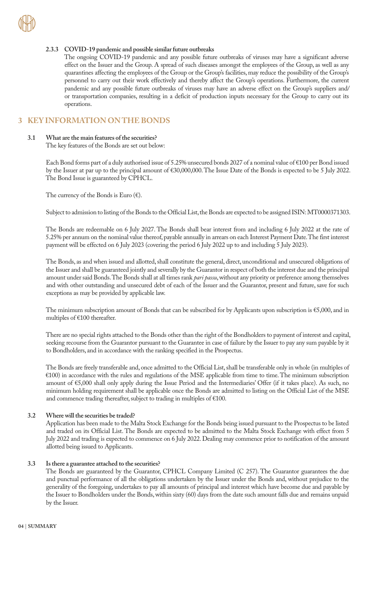## **2.3.3 COVID-19 pandemic and possible similar future outbreaks**

The ongoing COVID-19 pandemic and any possible future outbreaks of viruses may have a significant adverse effect on the Issuer and the Group. A spread of such diseases amongst the employees of the Group, as well as any quarantines affecting the employees of the Group or the Group's facilities, may reduce the possibility of the Group's personnel to carry out their work effectively and thereby affect the Group's operations. Furthermore, the current pandemic and any possible future outbreaks of viruses may have an adverse effect on the Group's suppliers and/ or transportation companies, resulting in a deficit of production inputs necessary for the Group to carry out its operations.

# **3 KEY INFORMATION ON THE BONDS**

#### **3.1 What are the main features of the securities?**

The key features of the Bonds are set out below:

Each Bond forms part of a duly authorised issue of 5.25% unsecured bonds 2027 of a nominal value of €100 per Bond issued by the Issuer at par up to the principal amount of €30,000,000. The Issue Date of the Bonds is expected to be 5 July 2022. The Bond Issue is guaranteed by CPHCL.

The currency of the Bonds is Euro  $(\epsilon)$ .

Subject to admission to listing of the Bonds to the Official List, the Bonds are expected to be assigned ISIN: MT0000371303.

The Bonds are redeemable on 6 July 2027. The Bonds shall bear interest from and including 6 July 2022 at the rate of 5.25% per annum on the nominal value thereof, payable annually in arrears on each Interest Payment Date. The first interest payment will be effected on 6 July 2023 (covering the period 6 July 2022 up to and including 5 July 2023).

The Bonds, as and when issued and allotted, shall constitute the general, direct, unconditional and unsecured obligations of the Issuer and shall be guaranteed jointly and severally by the Guarantor in respect of both the interest due and the principal amount under said Bonds. The Bonds shall at all times rank *pari passu*, without any priority or preference among themselves and with other outstanding and unsecured debt of each of the Issuer and the Guarantor, present and future, save for such exceptions as may be provided by applicable law.

The minimum subscription amount of Bonds that can be subscribed for by Applicants upon subscription is €5,000, and in multiples of €100 thereafter.

There are no special rights attached to the Bonds other than the right of the Bondholders to payment of interest and capital, seeking recourse from the Guarantor pursuant to the Guarantee in case of failure by the Issuer to pay any sum payable by it to Bondholders, and in accordance with the ranking specified in the Prospectus.

The Bonds are freely transferable and, once admitted to the Official List, shall be transferable only in whole (in multiples of €100) in accordance with the rules and regulations of the MSE applicable from time to time. The minimum subscription amount of €5,000 shall only apply during the Issue Period and the Intermediaries' Offer (if it takes place). As such, no minimum holding requirement shall be applicable once the Bonds are admitted to listing on the Official List of the MSE and commence trading thereafter, subject to trading in multiples of €100.

#### **3.2 Where will the securities be traded?**

Application has been made to the Malta Stock Exchange for the Bonds being issued pursuant to the Prospectus to be listed and traded on its Official List. The Bonds are expected to be admitted to the Malta Stock Exchange with effect from 5 July 2022 and trading is expected to commence on 6 July 2022. Dealing may commence prior to notification of the amount allotted being issued to Applicants.

#### **3.3 Is there a guarantee attached to the securities?**

The Bonds are guaranteed by the Guarantor, CPHCL Company Limited (C 257). The Guarantor guarantees the due and punctual performance of all the obligations undertaken by the Issuer under the Bonds and, without prejudice to the generality of the foregoing, undertakes to pay all amounts of principal and interest which have become due and payable by the Issuer to Bondholders under the Bonds, within sixty (60) days from the date such amount falls due and remains unpaid by the Issuer.

**04** | **SUMMARY**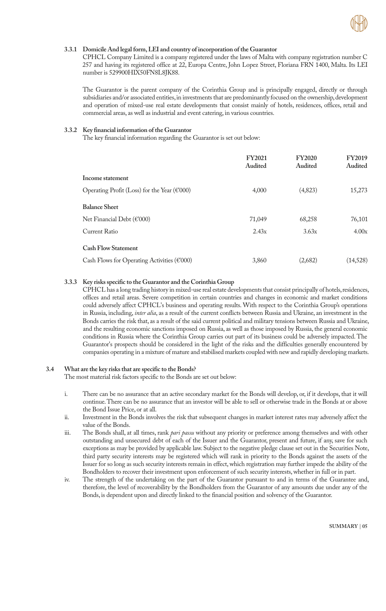

# **3.3.1 Domicile And legal form, LEI and country of incorporation of the Guarantor**

CPHCL Company Limited is a company registered under the laws of Malta with company registration number C 257 and having its registered office at 22, Europa Centre, John Lopez Street, Floriana FRN 1400, Malta. Its LEI number is 529900HIX50FN8L8JK88.

The Guarantor is the parent company of the Corinthia Group and is principally engaged, directly or through subsidiaries and/or associated entities, in investments that are predominantly focused on the ownership, development and operation of mixed-use real estate developments that consist mainly of hotels, residences, offices, retail and commercial areas, as well as industrial and event catering, in various countries.

## **3.3.2 Key financial information of the Guarantor**

The key financial information regarding the Guarantor is set out below:

|                                                         | <b>FY2021</b><br>Audited | <b>FY2020</b><br>Audited | <b>FY2019</b><br>Audited |
|---------------------------------------------------------|--------------------------|--------------------------|--------------------------|
| Income statement                                        |                          |                          |                          |
| Operating Profit (Loss) for the Year ( $\epsilon$ '000) | 4,000                    | (4,823)                  | 15,273                   |
| <b>Balance Sheet</b>                                    |                          |                          |                          |
| Net Financial Debt ( $\epsilon$ '000)                   | 71,049                   | 68,258                   | 76,101                   |
| Current Ratio                                           | 2.43x                    | 3.63x                    | 4.00x                    |
| <b>Cash Flow Statement</b>                              |                          |                          |                          |
| Cash Flows for Operating Activities ( $\epsilon$ '000)  | 3,860                    | (2,682)                  | (14,528)                 |

# **3.3.3 Key risks specific to the Guarantor and the Corinthia Group**

CPHCL has a long trading history in mixed-use real estate developments that consist principally of hotels, residences, offices and retail areas. Severe competition in certain countries and changes in economic and market conditions could adversely affect CPHCL's business and operating results. With respect to the Corinthia Group's operations in Russia, including, *inter alia*, as a result of the current conflicts between Russia and Ukraine, an investment in the Bonds carries the risk that, as a result of the said current political and military tensions between Russia and Ukraine, and the resulting economic sanctions imposed on Russia, as well as those imposed by Russia, the general economic conditions in Russia where the Corinthia Group carries out part of its business could be adversely impacted. The Guarantor's prospects should be considered in the light of the risks and the difficulties generally encountered by companies operating in a mixture of mature and stabilised markets coupled with new and rapidly developing markets.

# **3.4 What are the key risks that are specific to the Bonds?**

The most material risk factors specific to the Bonds are set out below:

- i. There can be no assurance that an active secondary market for the Bonds will develop, or, if it develops, that it will continue. There can be no assurance that an investor will be able to sell or otherwise trade in the Bonds at or above the Bond Issue Price, or at all.
- ii. Investment in the Bonds involves the risk that subsequent changes in market interest rates may adversely affect the value of the Bonds.
- iii. The Bonds shall, at all times, rank *pari passu* without any priority or preference among themselves and with other outstanding and unsecured debt of each of the Issuer and the Guarantor, present and future, if any, save for such exceptions as may be provided by applicable law. Subject to the negative pledge clause set out in the Securities Note, third party security interests may be registered which will rank in priority to the Bonds against the assets of the Issuer for so long as such security interests remain in effect, which registration may further impede the ability of the Bondholders to recover their investment upon enforcement of such security interests, whether in full or in part.
- iv. The strength of the undertaking on the part of the Guarantor pursuant to and in terms of the Guarantee and, therefore, the level of recoverability by the Bondholders from the Guarantor of any amounts due under any of the Bonds, is dependent upon and directly linked to the financial position and solvency of the Guarantor.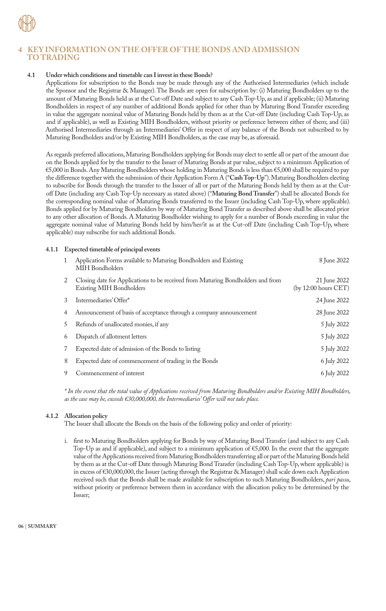

# **4 KEY INFORMATION ON THE OFFER OF THE BONDS AND ADMISSION TO TRADING**

# **4.1 Under which conditions and timetable can I invest in these Bonds?**

Applications for subscription to the Bonds may be made through any of the Authorised Intermediaries (which include the Sponsor and the Registrar & Manager). The Bonds are open for subscription by: (i) Maturing Bondholders up to the amount of Maturing Bonds held as at the Cut-off Date and subject to any Cash Top-Up, as and if applicable; (ii) Maturing Bondholders in respect of any number of additional Bonds applied for other than by Maturing Bond Transfer exceeding in value the aggregate nominal value of Maturing Bonds held by them as at the Cut-off Date (including Cash Top-Up, as and if applicable), as well as Existing MIH Bondholders, without priority or preference between either of them; and (iii) Authorised Intermediaries through an Intermediaries' Offer in respect of any balance of the Bonds not subscribed to by Maturing Bondholders and/or by Existing MIH Bondholders, as the case may be, as aforesaid.

As regards preferred allocations, Maturing Bondholders applying for Bonds may elect to settle all or part of the amount due on the Bonds applied for by the transfer to the Issuer of Maturing Bonds at par value, subject to a minimum Application of €5,000 in Bonds. Any Maturing Bondholders whose holding in Maturing Bonds is less than €5,000 shall be required to pay the difference together with the submission of their Application Form A ("**Cash Top-Up**"). Maturing Bondholders electing to subscribe for Bonds through the transfer to the Issuer of all or part of the Maturing Bonds held by them as at the Cutoff Date (including any Cash Top-Up necessary as stated above) ("**Maturing Bond Transfer**") shall be allocated Bonds for the corresponding nominal value of Maturing Bonds transferred to the Issuer (including Cash Top-Up, where applicable). Bonds applied for by Maturing Bondholders by way of Maturing Bond Transfer as described above shall be allocated prior to any other allocation of Bonds. A Maturing Bondholder wishing to apply for a number of Bonds exceeding in value the aggregate nominal value of Maturing Bonds held by him/her/it as at the Cut-off Date (including Cash Top-Up, where applicable) may subscribe for such additional Bonds.

# **4.1.1 Expected timetable of principal events**

| 1 | Application Forms available to Maturing Bondholders and Existing<br>MIH Bondholders                                | 8 June 2022                          |
|---|--------------------------------------------------------------------------------------------------------------------|--------------------------------------|
|   | Closing date for Applications to be received from Maturing Bondholders and from<br><b>Existing MIH Bondholders</b> | 21 June 2022<br>(by 12:00 hours CET) |
| 3 | Intermediaries' Offer*                                                                                             | 24 June 2022                         |
| 4 | Announcement of basis of acceptance through a company announcement                                                 | 28 June 2022                         |
| 5 | Refunds of unallocated monies, if any                                                                              | 5 July 2022                          |
| 6 | Dispatch of allotment letters                                                                                      | 5 July 2022                          |
|   | Expected date of admission of the Bonds to listing                                                                 | 5 July 2022                          |
| 8 | Expected date of commencement of trading in the Bonds                                                              | 6 July 2022                          |
|   | Commencement of interest                                                                                           | 6 July 2022                          |

*\* In the event that the total value of Applications received from Maturing Bondholders and/or Existing MIH Bondholders, as the case may be, exceeds €30,000,000, the Intermediaries' Offer will not take place.*

# **4.1.2 Allocation policy**

The Issuer shall allocate the Bonds on the basis of the following policy and order of priority:

i. first to Maturing Bondholders applying for Bonds by way of Maturing Bond Transfer (and subject to any Cash Top-Up as and if applicable), and subject to a minimum application of €5,000. In the event that the aggregate value of the Applications received from Maturing Bondholders transferring all or part of the Maturing Bonds held by them as at the Cut-off Date through Maturing Bond Transfer (including Cash Top-Up, where applicable) is in excess of €30,000,000, the Issuer (acting through the Registrar & Manager) shall scale down each Application received such that the Bonds shall be made available for subscription to such Maturing Bondholders, *pari passu*, without priority or preference between them in accordance with the allocation policy to be determined by the Issuer;

**06** | **SUMMARY**